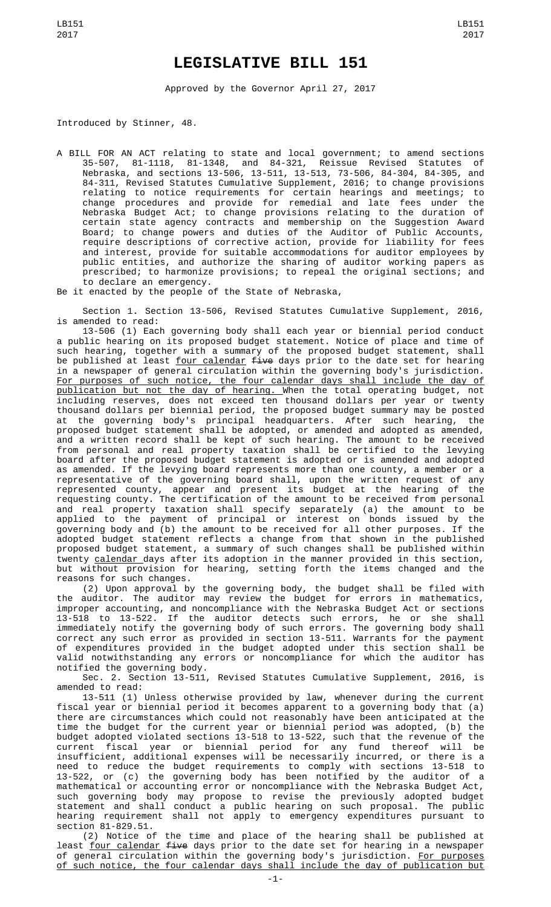## **LEGISLATIVE BILL 151**

Approved by the Governor April 27, 2017

Introduced by Stinner, 48.

A BILL FOR AN ACT relating to state and local government; to amend sections<br>35-507, 81-1118, 81-1348, and 84-321, Reissue Revised Statutes of 35-507, 81-1118, 81-1348, and 84-321, Reissue Revised Statutes of Nebraska, and sections 13-506, 13-511, 13-513, 73-506, 84-304, 84-305, and 84-311, Revised Statutes Cumulative Supplement, 2016; to change provisions relating to notice requirements for certain hearings and meetings; to change procedures and provide for remedial and late fees under the Nebraska Budget Act; to change provisions relating to the duration of certain state agency contracts and membership on the Suggestion Award Board; to change powers and duties of the Auditor of Public Accounts, require descriptions of corrective action, provide for liability for fees and interest, provide for suitable accommodations for auditor employees by public entities, and authorize the sharing of auditor working papers as prescribed; to harmonize provisions; to repeal the original sections; and to declare an emergency.

Be it enacted by the people of the State of Nebraska,

Section 1. Section 13-506, Revised Statutes Cumulative Supplement, 2016, is amended to read:

13-506 (1) Each governing body shall each year or biennial period conduct a public hearing on its proposed budget statement. Notice of place and time of such hearing, together with a summary of the proposed budget statement, shall be published at least <u>four calendar</u> <del>five</del> days prior to the date set for hearing in a newspaper of general circulation within the governing body's jurisdiction. For purposes of such notice, the four calendar days shall include the day of publication but not the day of hearing. When the total operating budget, not including reserves, does not exceed ten thousand dollars per year or twenty thousand dollars per biennial period, the proposed budget summary may be posted at the governing body's principal headquarters. After such hearing, the proposed budget statement shall be adopted, or amended and adopted as amended, and a written record shall be kept of such hearing. The amount to be received from personal and real property taxation shall be certified to the levying board after the proposed budget statement is adopted or is amended and adopted as amended. If the levying board represents more than one county, a member or a representative of the governing board shall, upon the written request of any represented county, appear and present its budget at the hearing of the requesting county. The certification of the amount to be received from personal and real property taxation shall specify separately (a) the amount to be applied to the payment of principal or interest on bonds issued by the governing body and (b) the amount to be received for all other purposes. If the adopted budget statement reflects a change from that shown in the published proposed budget statement, a summary of such changes shall be published within twenty calendar days after its adoption in the manner provided in this section, but without provision for hearing, setting forth the items changed and the reasons for such changes.

(2) Upon approval by the governing body, the budget shall be filed with the auditor. The auditor may review the budget for errors in mathematics, improper accounting, and noncompliance with the Nebraska Budget Act or sections 13-518 to 13-522. If the auditor detects such errors, he or she shall immediately notify the governing body of such errors. The governing body shall correct any such error as provided in section 13-511. Warrants for the payment of expenditures provided in the budget adopted under this section shall be valid notwithstanding any errors or noncompliance for which the auditor has notified the governing body.

Sec. 2. Section 13-511, Revised Statutes Cumulative Supplement, 2016, is amended to read:

13-511 (1) Unless otherwise provided by law, whenever during the current fiscal year or biennial period it becomes apparent to a governing body that (a) there are circumstances which could not reasonably have been anticipated at the time the budget for the current year or biennial period was adopted, (b) the budget adopted violated sections 13-518 to 13-522, such that the revenue of the current fiscal year or biennial period for any fund thereof will be insufficient, additional expenses will be necessarily incurred, or there is a need to reduce the budget requirements to comply with sections 13-518 to 13-522, or (c) the governing body has been notified by the auditor of a mathematical or accounting error or noncompliance with the Nebraska Budget Act, such governing body may propose to revise the previously adopted budget statement and shall conduct a public hearing on such proposal. The public hearing requirement shall not apply to emergency expenditures pursuant to section 81-829.51.

(2) Notice of the time and place of the hearing shall be published at least <u>four calendar</u> <del>five</del> days prior to the date set for hearing in a newspaper of general circulation within the governing body's jurisdiction. <u>For purposes</u> of such notice, the four calendar days shall include the day of publication but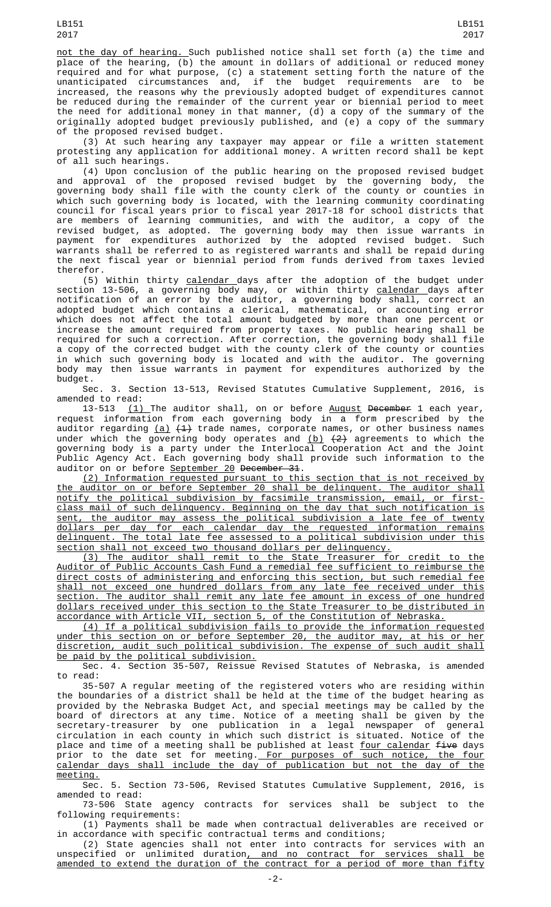not the day of hearing. Such published notice shall set forth (a) the time and place of the hearing, (b) the amount in dollars of additional or reduced money required and for what purpose, (c) a statement setting forth the nature of the unanticipated circumstances and, if the budget requirements are to be increased, the reasons why the previously adopted budget of expenditures cannot be reduced during the remainder of the current year or biennial period to meet the need for additional money in that manner, (d) a copy of the summary of the originally adopted budget previously published, and (e) a copy of the summary of the proposed revised budget.

(3) At such hearing any taxpayer may appear or file a written statement protesting any application for additional money. A written record shall be kept of all such hearings.

(4) Upon conclusion of the public hearing on the proposed revised budget and approval of the proposed revised budget by the governing body, the governing body shall file with the county clerk of the county or counties in which such governing body is located, with the learning community coordinating council for fiscal years prior to fiscal year 2017-18 for school districts that are members of learning communities, and with the auditor, a copy of the revised budget, as adopted. The governing body may then issue warrants in payment for expenditures authorized by the adopted revised budget. Such warrants shall be referred to as registered warrants and shall be repaid during the next fiscal year or biennial period from funds derived from taxes levied therefor.

(5) Within thirty calendar days after the adoption of the budget under section 13-506, a governing body may, or within thirty <u>calendar d</u>ays after notification of an error by the auditor, a governing body shall, correct an adopted budget which contains a clerical, mathematical, or accounting error which does not affect the total amount budgeted by more than one percent or increase the amount required from property taxes. No public hearing shall be required for such a correction. After correction, the governing body shall file a copy of the corrected budget with the county clerk of the county or counties in which such governing body is located and with the auditor. The governing body may then issue warrants in payment for expenditures authorized by the budget.

Sec. 3. Section 13-513, Revised Statutes Cumulative Supplement, 2016, is amended to read:

13-513 (1) The auditor shall, on or before August December 1 each year, request information from each governing body in a form prescribed by the auditor regarding <u>(a)</u> <del>(1)</del> trade names, corporate names, or other business names under which the governing body operates and <u>(b)</u>  $\{2\}$  agreements to which the governing body is a party under the Interlocal Cooperation Act and the Joint Public Agency Act. Each governing body shall provide such information to the auditor on or before <u>September 20</u> <del>December 31</del>.

(2) Information requested pursuant to this section that is not received by the auditor on or before September 20 shall be delinquent. The auditor shall notify the political subdivision by facsimile transmission, email, or firstclass mail of such delinquency. Beginning on the day that such notification is sent, the auditor may assess the political subdivision a late fee of twenty dollars per day for each calendar day the requested information remains delinquent. The total late fee assessed to a political subdivision under this section shall not exceed two thousand dollars per delinquency.

(3) The auditor shall remit to the State Treasurer for credit to the Auditor of Public Accounts Cash Fund a remedial fee sufficient to reimburse the direct costs of administering and enforcing this section, but such remedial fee shall not exceed one hundred dollars from any late fee received under this section. The auditor shall remit any late fee amount in excess of one hundred dollars received under this section to the State Treasurer to be distributed in accordance with Article VII, section 5, of the Constitution of Nebraska.

(4) If a political subdivision fails to provide the information requested under this section on or before September 20, the auditor may, at his or her discretion, audit such political subdivision. The expense of such audit shall be paid by the political subdivision.

Sec. 4. Section 35-507, Reissue Revised Statutes of Nebraska, is amended to read:

35-507 A regular meeting of the registered voters who are residing within the boundaries of a district shall be held at the time of the budget hearing as provided by the Nebraska Budget Act, and special meetings may be called by the board of directors at any time. Notice of a meeting shall be given by the secretary-treasurer by one publication in a legal newspaper of general circulation in each county in which such district is situated. Notice of the place and time of a meeting shall be published at least <u>four calendar</u> <del>five</del> days prior to the date set for meeting.<u> For purposes of such notice, the four</u> calendar days shall include the day of publication but not the day of the meeting.

Sec. 5. Section 73-506, Revised Statutes Cumulative Supplement, 2016, is amended to read:

73-506 State agency contracts for services shall be subject to the following requirements:

(1) Payments shall be made when contractual deliverables are received or in accordance with specific contractual terms and conditions;

(2) State agencies shall not enter into contracts for services with an unspecified or unlimited duration<u>, and no contract for services shall be</u> amended to extend the duration of the contract for a period of more than fifty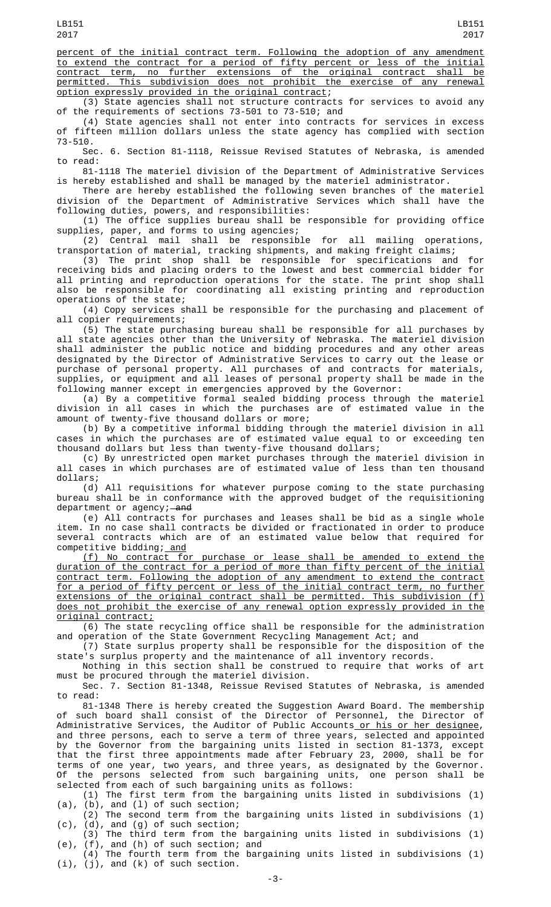percent of the initial contract term. Following the adoption of any amendment to extend the contract for a period of fifty percent or less of the initial contract term, no further extensions of the original contract shall be permitted. This subdivision does not prohibit the exercise of any renewal option expressly provided in the original contract;

(3) State agencies shall not structure contracts for services to avoid any of the requirements of sections 73-501 to 73-510; and

(4) State agencies shall not enter into contracts for services in excess of fifteen million dollars unless the state agency has complied with section 73-510.

Sec. 6. Section 81-1118, Reissue Revised Statutes of Nebraska, is amended to read:

81-1118 The materiel division of the Department of Administrative Services is hereby established and shall be managed by the materiel administrator.

There are hereby established the following seven branches of the materiel division of the Department of Administrative Services which shall have the following duties, powers, and responsibilities:

(1) The office supplies bureau shall be responsible for providing office supplies, paper, and forms to using agencies;

(2) Central mail shall be responsible for all mailing operations, transportation of material, tracking shipments, and making freight claims;

(3) The print shop shall be responsible for specifications and for receiving bids and placing orders to the lowest and best commercial bidder for all printing and reproduction operations for the state. The print shop shall also be responsible for coordinating all existing printing and reproduction operations of the state;

(4) Copy services shall be responsible for the purchasing and placement of all copier requirements;

(5) The state purchasing bureau shall be responsible for all purchases by all state agencies other than the University of Nebraska. The materiel division shall administer the public notice and bidding procedures and any other areas designated by the Director of Administrative Services to carry out the lease or purchase of personal property. All purchases of and contracts for materials, supplies, or equipment and all leases of personal property shall be made in the following manner except in emergencies approved by the Governor:

(a) By a competitive formal sealed bidding process through the materiel division in all cases in which the purchases are of estimated value in the amount of twenty-five thousand dollars or more;

(b) By a competitive informal bidding through the materiel division in all cases in which the purchases are of estimated value equal to or exceeding ten thousand dollars but less than twenty-five thousand dollars;

(c) By unrestricted open market purchases through the materiel division in all cases in which purchases are of estimated value of less than ten thousand dollars;

(d) All requisitions for whatever purpose coming to the state purchasing bureau shall be in conformance with the approved budget of the requisitioning department or agency; and

(e) All contracts for purchases and leases shall be bid as a single whole item. In no case shall contracts be divided or fractionated in order to produce several contracts which are of an estimated value below that required for competitive bidding; and

(f) No contract for purchase or lease shall be amended to extend the duration of the contract for a period of more than fifty percent of the initial contract term. Following the adoption of any amendment to extend the contract for a period of fifty percent or less of the initial contract term, no further extensions of the original contract shall be permitted. This subdivision (f) does not prohibit the exercise of any renewal option expressly provided in the original contract;

(6) The state recycling office shall be responsible for the administration and operation of the State Government Recycling Management Act; and

(7) State surplus property shall be responsible for the disposition of the state's surplus property and the maintenance of all inventory records.

Nothing in this section shall be construed to require that works of art must be procured through the materiel division.

Sec. 7. Section 81-1348, Reissue Revised Statutes of Nebraska, is amended to read:

81-1348 There is hereby created the Suggestion Award Board. The membership of such board shall consist of the Director of Personnel, the Director of Administrative Services, the Auditor of Public Accounts<u> or his or her designee</u>, and three persons, each to serve a term of three years, selected and appointed by the Governor from the bargaining units listed in section 81-1373, except that the first three appointments made after February 23, 2000, shall be for terms of one year, two years, and three years, as designated by the Governor. Of the persons selected from such bargaining units, one person shall be selected from each of such bargaining units as follows:

(1) The first term from the bargaining units listed in subdivisions (1) (a), (b), and (l) of such section;

(2) The second term from the bargaining units listed in subdivisions (1) (c), (d), and (g) of such section;

(3) The third term from the bargaining units listed in subdivisions (1) (e), (f), and (h) of such section; and

(4) The fourth term from the bargaining units listed in subdivisions (1) (i), (j), and (k) of such section.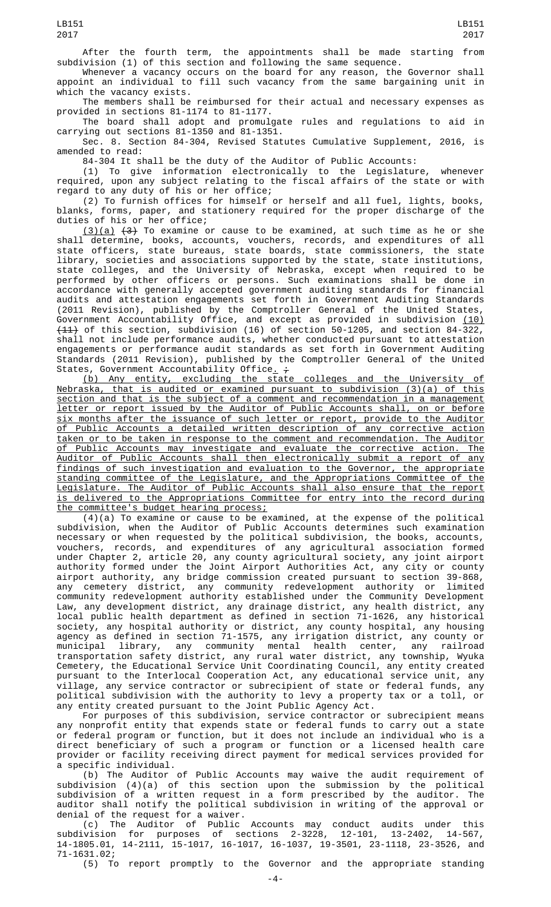After the fourth term, the appointments shall be made starting from subdivision (1) of this section and following the same sequence.

Whenever a vacancy occurs on the board for any reason, the Governor shall appoint an individual to fill such vacancy from the same bargaining unit in which the vacancy exists.

The members shall be reimbursed for their actual and necessary expenses as provided in sections 81-1174 to 81-1177.

The board shall adopt and promulgate rules and regulations to aid in carrying out sections 81-1350 and 81-1351.

Sec. 8. Section 84-304, Revised Statutes Cumulative Supplement, 2016, is amended to read:

84-304 It shall be the duty of the Auditor of Public Accounts:

(1) To give information electronically to the Legislature, whenever required, upon any subject relating to the fiscal affairs of the state or with regard to any duty of his or her office;

(2) To furnish offices for himself or herself and all fuel, lights, books, blanks, forms, paper, and stationery required for the proper discharge of the duties of his or her office;

 $(3)(a)$   $(3)$  To examine or cause to be examined, at such time as he or she shall determine, books, accounts, vouchers, records, and expenditures of all state officers, state bureaus, state boards, state commissioners, the state library, societies and associations supported by the state, state institutions, state colleges, and the University of Nebraska, except when required to be performed by other officers or persons. Such examinations shall be done in accordance with generally accepted government auditing standards for financial audits and attestation engagements set forth in Government Auditing Standards (2011 Revision), published by the Comptroller General of the United States, Government Accountability Office, and except as provided in subdivision (10) (11) of this section, subdivision (16) of section 50-1205, and section 84-322, shall not include performance audits, whether conducted pursuant to attestation engagements or performance audit standards as set forth in Government Auditing Standards (2011 Revision), published by the Comptroller General of the United States, Government Accountability Office<u>.</u> <del>;</del>

(b) Any entity, excluding the state colleges and the University of Nebraska, that is audited or examined pursuant to subdivision (3)(a) of this section and that is the subject of a comment and recommendation in a management letter or report issued by the Auditor of Public Accounts shall, on or before six months after the issuance of such letter or report, provide to the Auditor of Public Accounts a detailed written description of any corrective action taken or to be taken in response to the comment and recommendation. The Auditor of Public Accounts may investigate and evaluate the corrective action. The Auditor of Public Accounts shall then electronically submit a report of any findings of such investigation and evaluation to the Governor, the appropriate standing committee of the Legislature, and the Appropriations Committee of the Legislature. The Auditor of Public Accounts shall also ensure that the report is delivered to the Appropriations Committee for entry into the record during the committee's budget hearing process;

 $(4)(a)$  To examine or cause to be examined, at the expense of the political subdivision, when the Auditor of Public Accounts determines such examination necessary or when requested by the political subdivision, the books, accounts, vouchers, records, and expenditures of any agricultural association formed under Chapter 2, article 20, any county agricultural society, any joint airport authority formed under the Joint Airport Authorities Act, any city or county airport authority, any bridge commission created pursuant to section 39-868, any cemetery district, any community redevelopment authority or limited community redevelopment authority established under the Community Development Law, any development district, any drainage district, any health district, any local public health department as defined in section 71-1626, any historical society, any hospital authority or district, any county hospital, any housing agency as defined in section 71-1575, any irrigation district, any county or municipal library, any community mental health center, any railroad transportation safety district, any rural water district, any township, Wyuka Cemetery, the Educational Service Unit Coordinating Council, any entity created pursuant to the Interlocal Cooperation Act, any educational service unit, any village, any service contractor or subrecipient of state or federal funds, any political subdivision with the authority to levy a property tax or a toll, or any entity created pursuant to the Joint Public Agency Act.

For purposes of this subdivision, service contractor or subrecipient means any nonprofit entity that expends state or federal funds to carry out a state or federal program or function, but it does not include an individual who is a direct beneficiary of such a program or function or a licensed health care provider or facility receiving direct payment for medical services provided for a specific individual.

(b) The Auditor of Public Accounts may waive the audit requirement of subdivision (4)(a) of this section upon the submission by the political subdivision of a written request in a form prescribed by the auditor. The auditor shall notify the political subdivision in writing of the approval or denial of the request for a waiver.

(c) The Auditor of Public Accounts may conduct audits under this subdivision for purposes of sections 2-3228, 12-101, 13-2402, 14-567, 14-1805.01, 14-2111, 15-1017, 16-1017, 16-1037, 19-3501, 23-1118, 23-3526, and 71-1631.02;

(5) To report promptly to the Governor and the appropriate standing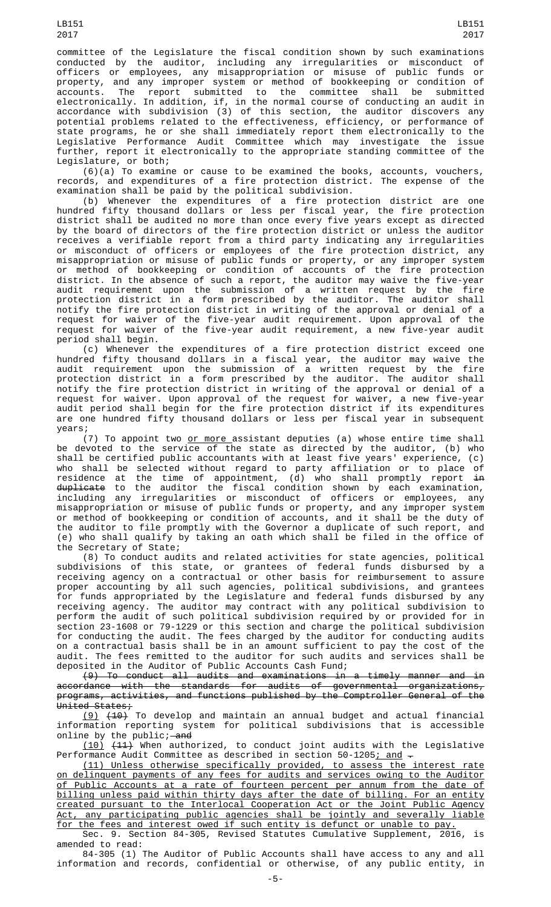committee of the Legislature the fiscal condition shown by such examinations conducted by the auditor, including any irregularities or misconduct of officers or employees, any misappropriation or misuse of public funds or property, and any improper system or method of bookkeeping or condition of accounts. The report submitted to the committee shall be submitted electronically. In addition, if, in the normal course of conducting an audit in accordance with subdivision (3) of this section, the auditor discovers any potential problems related to the effectiveness, efficiency, or performance of state programs, he or she shall immediately report them electronically to the Legislative Performance Audit Committee which may investigate the issue further, report it electronically to the appropriate standing committee of the Legislature, or both;

(6)(a) To examine or cause to be examined the books, accounts, vouchers, records, and expenditures of a fire protection district. The expense of the examination shall be paid by the political subdivision.

(b) Whenever the expenditures of a fire protection district are one hundred fifty thousand dollars or less per fiscal year, the fire protection district shall be audited no more than once every five years except as directed by the board of directors of the fire protection district or unless the auditor receives a verifiable report from a third party indicating any irregularities or misconduct of officers or employees of the fire protection district, any misappropriation or misuse of public funds or property, or any improper system or method of bookkeeping or condition of accounts of the fire protection district. In the absence of such a report, the auditor may waive the five-year audit requirement upon the submission of a written request by the fire protection district in a form prescribed by the auditor. The auditor shall notify the fire protection district in writing of the approval or denial of a request for waiver of the five-year audit requirement. Upon approval of the request for waiver of the five-year audit requirement, a new five-year audit period shall begin.

(c) Whenever the expenditures of a fire protection district exceed one hundred fifty thousand dollars in a fiscal year, the auditor may waive the audit requirement upon the submission of a written request by the fire protection district in a form prescribed by the auditor. The auditor shall notify the fire protection district in writing of the approval or denial of a request for waiver. Upon approval of the request for waiver, a new five-year audit period shall begin for the fire protection district if its expenditures are one hundred fifty thousand dollars or less per fiscal year in subsequent years;

(7) To appoint two or more assistant deputies (a) whose entire time shall be devoted to the service of the state as directed by the auditor, (b) who shall be certified public accountants with at least five years' experience, (c) who shall be selected without regard to party affiliation or to place of residence at the time of appointment, (d) who shall promptly report <del>in</del> <del>duplicate</del> to the auditor the fiscal condition shown by each examination, including any irregularities or misconduct of officers or employees, any misappropriation or misuse of public funds or property, and any improper system or method of bookkeeping or condition of accounts, and it shall be the duty of the auditor to file promptly with the Governor a duplicate of such report, and (e) who shall qualify by taking an oath which shall be filed in the office of the Secretary of State;

(8) To conduct audits and related activities for state agencies, political subdivisions of this state, or grantees of federal funds disbursed by a receiving agency on a contractual or other basis for reimbursement to assure proper accounting by all such agencies, political subdivisions, and grantees for funds appropriated by the Legislature and federal funds disbursed by any receiving agency. The auditor may contract with any political subdivision to perform the audit of such political subdivision required by or provided for in section 23-1608 or 79-1229 or this section and charge the political subdivision for conducting the audit. The fees charged by the auditor for conducting audits on a contractual basis shall be in an amount sufficient to pay the cost of the audit. The fees remitted to the auditor for such audits and services shall be deposited in the Auditor of Public Accounts Cash Fund;

(9) To conduct all audits and examinations in a timely manner and in accordance with the standards for audits of governmental organizations, programs, activities, and functions published by the Comptroller General of the United States;

(9) (10) To develop and maintain an annual budget and actual financial information reporting system for political subdivisions that is accessible online by the  $public$ ; and

 $(10)$   $(11)$  When authorized, to conduct joint audits with the Legislative Performance Audit Committee as described in section 50-1205; and -

(11) Unless otherwise specifically provided, to assess the interest rate on delinquent payments of any fees for audits and services owing to the Auditor of Public Accounts at a rate of fourteen percent per annum from the date of billing unless paid within thirty days after the date of billing. For an entity created pursuant to the Interlocal Cooperation Act or the Joint Public Agency Act, any participating public agencies shall be jointly and severally liable for the fees and interest owed if such entity is defunct or unable to pay.

Sec. 9. Section 84-305, Revised Statutes Cumulative Supplement, 2016, is amended to read:

84-305 (1) The Auditor of Public Accounts shall have access to any and all information and records, confidential or otherwise, of any public entity, in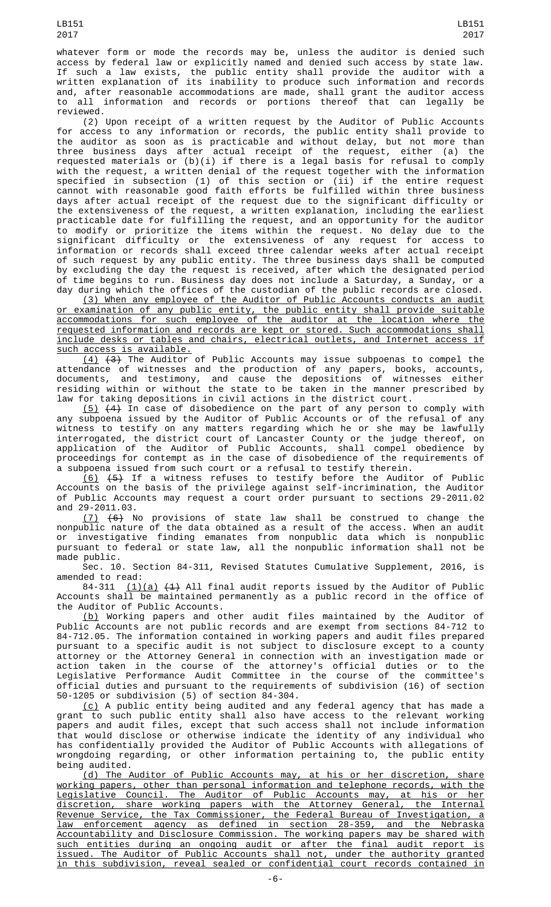LB151

whatever form or mode the records may be, unless the auditor is denied such access by federal law or explicitly named and denied such access by state law. If such a law exists, the public entity shall provide the auditor with a written explanation of its inability to produce such information and records and, after reasonable accommodations are made, shall grant the auditor access to all information and records or portions thereof that can legally be reviewed.

(2) Upon receipt of a written request by the Auditor of Public Accounts for access to any information or records, the public entity shall provide to the auditor as soon as is practicable and without delay, but not more than three business days after actual receipt of the request, either (a) the requested materials or (b)(i) if there is a legal basis for refusal to comply with the request, a written denial of the request together with the information specified in subsection (1) of this section or (ii) if the entire request cannot with reasonable good faith efforts be fulfilled within three business days after actual receipt of the request due to the significant difficulty or the extensiveness of the request, a written explanation, including the earliest practicable date for fulfilling the request, and an opportunity for the auditor to modify or prioritize the items within the request. No delay due to the significant difficulty or the extensiveness of any request for access to information or records shall exceed three calendar weeks after actual receipt of such request by any public entity. The three business days shall be computed by excluding the day the request is received, after which the designated period of time begins to run. Business day does not include a Saturday, a Sunday, or a day during which the offices of the custodian of the public records are closed.

(3) When any employee of the Auditor of Public Accounts conducts an audit or examination of any public entity, the public entity shall provide suitable accommodations for such employee of the auditor at the location where the requested information and records are kept or stored. Such accommodations shall include desks or tables and chairs, electrical outlets, and Internet access if such access is available.

 $(4)$   $(3)$  The Auditor of Public Accounts may issue subpoenas to compel the attendance of witnesses and the production of any papers, books, accounts, documents, and testimony, and cause the depositions of witnesses either residing within or without the state to be taken in the manner prescribed by law for taking depositions in civil actions in the district court.

<u>(5)</u>  $(4)$  In case of disobedience on the part of any person to comply with any subpoena issued by the Auditor of Public Accounts or of the refusal of any witness to testify on any matters regarding which he or she may be lawfully interrogated, the district court of Lancaster County or the judge thereof, on application of the Auditor of Public Accounts, shall compel obedience by proceedings for contempt as in the case of disobedience of the requirements of a subpoena issued from such court or a refusal to testify therein.

(6) (5) If a witness refuses to testify before the Auditor of Public Accounts on the basis of the privilege against self-incrimination, the Auditor of Public Accounts may request a court order pursuant to sections 29-2011.02 and 29-2011.03.

(7) (6) No provisions of state law shall be construed to change the nonpublic nature of the data obtained as a result of the access. When an audit or investigative finding emanates from nonpublic data which is nonpublic pursuant to federal or state law, all the nonpublic information shall not be made public.

Sec. 10. Section 84-311, Revised Statutes Cumulative Supplement, 2016, is amended to read:

84-311  $(1)(a)$   $(4)$  All final audit reports issued by the Auditor of Public Accounts shall be maintained permanently as a public record in the office of the Auditor of Public Accounts.

(b) Working papers and other audit files maintained by the Auditor of Public Accounts are not public records and are exempt from sections 84-712 to 84-712.05. The information contained in working papers and audit files prepared pursuant to a specific audit is not subject to disclosure except to a county attorney or the Attorney General in connection with an investigation made or action taken in the course of the attorney's official duties or to the Legislative Performance Audit Committee in the course of the committee's official duties and pursuant to the requirements of subdivision (16) of section 50-1205 or subdivision (5) of section 84-304.

(c) A public entity being audited and any federal agency that has made a grant to such public entity shall also have access to the relevant working papers and audit files, except that such access shall not include information that would disclose or otherwise indicate the identity of any individual who has confidentially provided the Auditor of Public Accounts with allegations of wrongdoing regarding, or other information pertaining to, the public entity being audited.

(d) The Auditor of Public Accounts may, at his or her discretion, share working papers, other than personal information and telephone records, with the Legislative Council. The Auditor of Public Accounts may, at his or her discretion, share working papers with the Attorney General, the Internal Revenue Service, the Tax Commissioner, the Federal Bureau of Investigation, a law enforcement agency as defined in section 28-359, and the Nebraska Accountability and Disclosure Commission. The working papers may be shared with such entities during an ongoing audit or after the final audit report is issued. The Auditor of Public Accounts shall not, under the authority granted in this subdivision, reveal sealed or confidential court records contained in